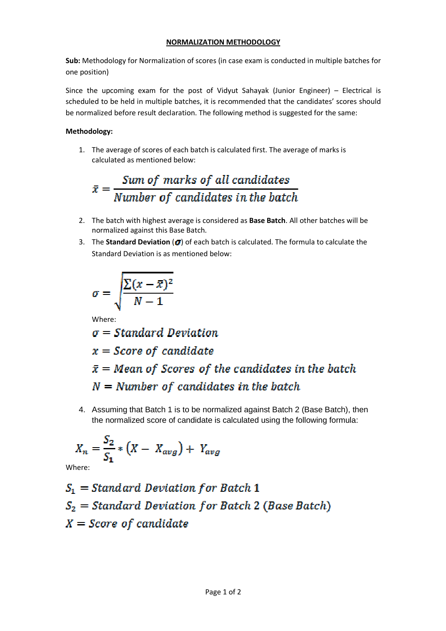## **NORMALIZATION METHODOLOGY**

**Sub:** Methodology for Normalization of scores (in case exam is conducted in multiple batches for one position)

Since the upcoming exam for the post of Vidyut Sahayak (Junior Engineer) – Electrical is scheduled to be held in multiple batches, it is recommended that the candidates' scores should be normalized before result declaration. The following method is suggested for the same:

## **Methodology:**

1. The average of scores of each batch is calculated first. The average of marks is calculated as mentioned below:

$$
\bar{x} = \frac{Sum\ of\ marks\ of\ all\ candidates}{Number\ of\ candidates\ in\ the\ batch}
$$

- 2. The batch with highest average is considered as **Base Batch**. All other batches will be normalized against this Base Batch.
- 3. The **Standard Deviation** ( $\sigma$ ) of each batch is calculated. The formula to calculate the Standard Deviation is as mentioned below:

$$
\sigma = \sqrt{\frac{\sum (x - \bar{x})^2}{N-1}}
$$

Where:

 $\sigma = Standard\ Deviation$  $x = Score of candidate$  $\bar{x}$  = Mean of Scores of the candidates in the batch  $N =$  Number of candidates in the batch

4. Assuming that Batch 1 is to be normalized against Batch 2 (Base Batch), then the normalized score of candidate is calculated using the following formula:

$$
X_n = \frac{S_2}{S_1} * (X - X_{avg}) + Y_{avg}
$$

Where:

$$
S_1
$$
 = Standard Deviation for Batch 1  
\n $S_2$  = Standard Deviation for Batch 2 (Base Batch)  
\n $X$  = Score of candidate